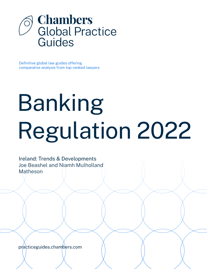

Definitive global law guides offering comparative analysis from top-ranked lawyers

# Banking Regulation 2022

Ireland: Trends & Developments Joe Beashel and Niamh Mulholland Matheson

[practiceguides.chambers.com](http://practiceguides.chambers.com)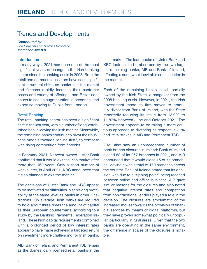## Trends and Developments

*Contributed by: Joe Beashel and Niamh Mulholland Matheson [see p.8](#page-7-0)*

#### Introduction

In many ways, 2021 has been one of the most significant years of change in the Irish banking sector since the banking crisis in 2008. Both the retail and commercial sectors have seen significant structural shifts as banks exit the market and fintechs rapidly increase their customer bases and variety of offerings, and Brexit continues to see an augmentation in personnel and expertise moving to Dublin from London.

#### Retail Banking

The retail banking sector has seen a significant shift in the last year, with a number of long-established banks leaving the Irish market. Meanwhile, the remaining banks continue to pivot their business models towards "online-first", to compete with rising competition from fintechs.

In February 2021, Natwest-owned Ulster Bank confirmed that it would exit the Irish market after more than 160 years. Only a short number of weeks later, in April 2021, KBC announced that it also planned to exit the market.

The decisions of Ulster Bank and KBC appear to be motivated by difficulties in achieving profitability at the same level as banks in other jurisdictions. On average, Irish banks are required to hold about three times the amount of capital as their European counterparts, according to a study by the Banking Payments Federation Ireland. These high capital requirements combined with a prolonged period of low interest rates appear to have made achieving a targeted return on investment more challenging for Irish banks.

AIB, Bank of Ireland and Permanent TSB remain as the domestically licensed retail banks in the Irish market. The loan books of Ulster Bank and KBC look set to be absorbed by the two largest remaining banks, AIB and Bank of Ireland, effecting a somewhat inevitable consolidation in the market.

Each of the remaining banks is still partially owned by the Irish State, a hangover from the 2008 banking crisis. However, in 2021, the Irish government made its first moves to gradually divest from Bank of Ireland, with the State reportedly reducing its stake from 13.9% to 11.87% between June and October 2021. The government appears to be taking a more cautious approach to divesting its respective 71% and 75% stakes in AIB and Permanent TSB.

2021 also saw an unprecedented number of bank branch closures in Ireland: Bank of Ireland closed 88 of its 257 branches in 2021, and AIB announced that it would close 15 of its branches, leaving it with a total of 170 branches across the country. Bank of Ireland stated that its decision was due to a "tipping point" being reached between online and offline business. AIB gave similar reasons for the closures and also noted that negative interest rates and competition from non-traditional lenders played a role in the decision. The closures are emblematic of the increased moves towards the provision of financial services by means of digital platforms, but they have proven somewhat politically unpopular, particularly in rural areas. Given that the two banks are operating in the same environment, the difference in scales of the closures is notable.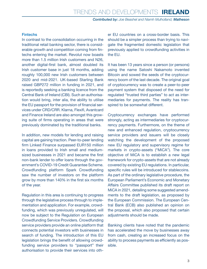*Contributed by: Joe Beashel and Niamh Mulholland, Matheson* 

#### **Fintechs**

In contrast to the consolidation occurring in the traditional retail banking sector, there is considerable growth and competition coming from fintechs entering the market. Revolut now boasts more than 1.5 million Irish customers and N26, another digital-first bank, almost doubled its Irish customer base in just 18 months, adding roughly 100,000 new Irish customers between 2020 and mid-2021. UK-based Starling Bank raised GBP272 million in funding in 2021, and is reportedly seeking a banking licence from the Central Bank of Ireland (CBI). Such an authorisation would bring, inter alia, the ability to utilise the EU passport for the provision of financial services under CRD/CRR. Klarna, Flexifi, Avantcard and Finance Ireland are also amongst this growing suite of firms operating in areas that were previously dominated by the traditional banks.

In addition, new models for lending and raising capital are gaining traction. Peer-to-peer lending firm Linked Finance surpassed EUR150 million in loans provided to Irish small and mediumsized businesses in 2021 and became the first non-bank lender to offer loans through the government's COVID-19 Credit Guarantee Scheme. Crowdfunding platform Spark Crowdfunding saw the number of investors on the platform grow by more than 140% in the first six months of the year.

Regulation in this area is continuing to progress through the legislative process through to implementation and application. For example, crowdfunding, which was previously unregulated, will now be subject to the Regulation on European Crowdfunding Service Providers. Crowdfunding service providers provide an online platform that connects potential investors with businesses in search of funding. The introduction of this EU legislation brings the benefit of allowing crowdfunding service providers to "passport" their authorisation to provide their services into other EU countries on a cross-border basis. This should be a simpler process than trying to navigate the fragmented domestic legislation that previously applied to crowdfunding activities in the EU.

It has been 13 years since a person (or persons) using the name Satoshi Nakamoto invented Bitcoin and sowed the seeds of the cryptocurrency boom of the last decade. The original goal of cryptocurrency was to create a peer-to-peer payment system that disposed of the need for regulated "trusted third parties" to act as intermediaries for payments. The reality has transpired to be somewhat different.

Cryptocurrency exchanges have performed strongly, acting as intermediaries for cryptocurrency payments. Furthermore, on the theme of new and enhanced regulation, cryptocurrency service providers and issuers will be closely watching the development of the proposed new EU regulatory and supervisory regime for markets in crypto-assets ("MiCA"). The core objective of MiCA is to establish a new legal framework for crypto-assets that are not already covered by existing EU regulations. In particular, specific rules will be introduced for stablecoins. As part of the ordinary legislative procedure, the European Parliament's Economic and Monetary Affairs Committee published its draft report on MiCA in 2021, detailing some suggested amendments to the draft legislation, as proposed by the European Commission. The European Central Bank (ECB) also published an opinion on the proposal, which also proposed that certain adjustments should be made.

Banking clients have noted that the pandemic has accelerated the move by businesses away from cash, creating an increased focus on the ability to process payments as efficiently as possible.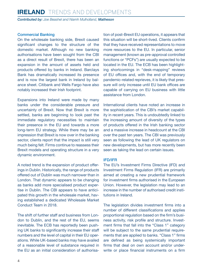## **IRELAND** TRENDS AND DEVELOPMENTS

*Contributed by: Joe Beashel and Niamh Mulholland, Matheson* 

#### Commercial Banking

On the wholesale banking side, Brexit caused significant changes to the structure of the domestic market. Although no new banking authorisations have been sought from the CBI as a direct result of Brexit, there has been an expansion in the amount of assets held and products offered by banks in Ireland. Barclays Bank has dramatically increased its presence and is now the largest bank in Ireland by balance sheet. Citibank and Wells Fargo have also notably increased their Irish footprint.

Expansions into Ireland were made by many banks under the considerable pressure and uncertainty of Brexit. Now that Brexit is more settled, banks are beginning to look past the immediate regulatory necessities to maintain their presence in the EU and towards a more long-term EU strategy. While there may be an impression that Brexit is now over in the banking sector, clients report that the impact is still very much being felt. Firms continue to reassess their Brexit models and operating structure in a very dynamic environment.

A noted trend is the expansion of product offerings in Dublin. Historically, the range of products offered out of Dublin was much narrower than in London. That dynamic appears to be changing as banks add more specialised product expertise in Dublin. The CBI appears to have anticipated this growth in the wholesale market, having established a dedicated Wholesale Market Conduct Team in 2018.

The shift of further staff and business from London to Dublin, and the rest of the EU, seems inevitable. The ECB has reportedly been pushing UK banks to significantly increase their staff numbers and the level of capital in their EU operations. While UK-based banks may have availed of a reasonable level of substance required in the EU as an initial consideration of authorisation of post-Brexit EU operations, it appears that this situation will be short-lived. Clients confirm that they have received representations to move more resources to the EU. In particular, senior management (known as pre-approval controlled functions or "PCFs") are usually expected to be located in the EU. The ECB has been highlighting shortcomings in "desk-mapping" reviews of EU offices and, with the end of temporary pandemic-related reprieves, it is likely that pressure will only increase until EU bank offices are capable of carrying on EU business with little assistance from London.

International clients have noted an increase in the sophistication of the CBI's market capability in recent years. This is undoubtedly linked to the increasing amount of diversity of the types of products offered in the Irish banking sector and a massive increase in headcount at the CBI over the past ten years. The CBI was previously seen as following the lead of UK regulators on new developments, but has more recently been seen as taking the lead on certain issues.

#### IFD/IFR

The EU's Investment Firms Directive (IFD) and Investment Firms Regulation (IFR) are primarily aimed at creating a new prudential framework for investment firms authorised in the European Union. However, the legislation may lead to an increase in the number of authorised credit institutions in Ireland.

The legislation divides investment firms into a number of different classifications and applies proportional regulation based on the firm's business activity, risk profile and structure. Investment firms that fall into the "Class 1" category will be subject to the same prudential requirements that are applied to banks. "Class 1" firms are defined as being systemically important firms that deal on own account and/or underwrite or place financial instruments on a firm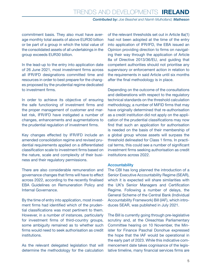#### *Contributed by: Joe Beashel and Niamh Mulholland, Matheson*

commitment basis. They also must have average monthly total assets of above EUR30 billion or be part of a group in which the total value of the consolidated assets of all undertakings in the group exceeds EUR30 billion.

In the lead-up to the entry into application date of 26 June 2021, most investment firms across all IFR/IFD designations committed time and resources in order to best prepare for the changes proposed by the prudential regime dedicated to investment firms.

In order to achieve its objective of ensuring the safe functioning of investment firms and the proper management of customer and market risk, IFR/IFD have instigated a number of changes, enhancements and augmentations to the prudential regulation of investment firms.

Key changes effected by IFR/IFD include an amended consolidation regime and revised prudential requirements applied on a differentiated classification scale to investment firms based on the nature, scale and complexity of their business and their regulatory permissions.

There are also considerable remuneration and governance changes that firms will have to effect across 2022, according to the recently finalised EBA Guidelines on Remuneration Policy and Internal Governance.

By the time of entry into application, most investment firms had identified which of the prudential classifications was most pertinent to them. However, in a number of instances, particularly for investment firms of third-country groups, some ambiguity remained as to whether such firms would need to seek authorisation as credit institutions.

As the relevant delegated legislation that will determine the methodology for the calculation

of the relevant thresholds set out in Article 8a(1) had not been adopted at the time of the entry into application of IFR/IFD, the EBA issued an Opinion providing direction to firms on navigating their way through the application of Article 8a of Directive 2013/36/EU, and guiding that competent authorities should not prioritise any supervisory or enforcement action in relation to the requirements in said Article until six months after the final methodology is in place.

Depending on the outcome of the consultations and deliberations with respect to the regulatory technical standards on the threshold calculation methodology, a number of MiFID firms that may have originally determined that re-authorisation as a credit institution did not apply on the application of the prudential classifications may now find that such an application for authorisation is needed on the basis of their membership of a global group whose assets will surpass the threshold delineated for Class 1 firms. In practical terms, this could see a number of significant investment firms seeking authorisation as credit institutions across 2022.

#### Accountability

The CBI has long planned the introduction of a Senior Executive Accountability Regime (SEAR), which it is expected will share similarities with the UK's Senior Managers and Certification Regime. Following a number of delays, the General Scheme of the Central Bank (Individual Accountability Framework) Bill (IAF), which introduces SEAR, was published in July 2021.

The Bill is currently going through pre-legislative scrutiny and, at the Oireachtas Parliamentary Committee hearing on 10 November, the Minister for Finance Paschal Donohue expressed the hope that the IAF would be operational in the early part of 2023. While this indicative commencement date takes cognisance of the legislative timeline, many financial services firms are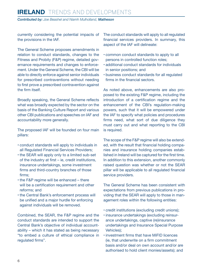## **IRELAND** TRENDS AND DEVELOPMENTS

*Contributed by: Joe Beashel and Niamh Mulholland, Matheson* 

currently considering the potential impacts of the provisions in the IAF.

The General Scheme proposes amendments in relation to conduct standards, changes to the Fitness and Probity (F&P) regime, detailed governance requirements and changes to enforcement. Under the General Scheme, the CBI will be able to directly enforce against senior individuals for prescribed contraventions without needing to first prove a prescribed contravention against the firm itself.

Broadly speaking, the General Scheme reflects what was broadly expected by the sector on the basis of the Banking Culture Report and various other CBI publications and speeches on IAF and accountability more generally.

The proposed IAF will be founded on four main pillars:

- conduct standards will apply to individuals in all Regulated Financial Services Providers;
- the SEAR will apply only to a limited sub-set of the industry at first – ie, credit institutions, insurance undertakings, some investment firms and third-country branches of those firms;
- the F&P regime will be enhanced there will be a certification requirement and other reforms; and
- the Central Bank's enforcement process will be unified and a major hurdle for enforcing against individuals will be removed.

Combined, the SEAR, the F&P regime and the conduct standards are intended to support the Central Bank's objective of individual accountability – which it has stated as being necessary "to embed a culture of ethical compliance in regulated firms".

The conduct standards will apply to all regulated financial services providers. In summary, this aspect of the IAF will delineate:

- common conduct standards to apply to all persons in controlled function roles;
- additional conduct standards for individuals in senior positions; and
- business conduct standards for all regulated firms in the financial sectors.

As noted above, enhancements are also proposed to the existing F&P regime, including the introduction of a certification regime and the enhancement of the CBI's regulation-making powers, such that it will be empowered under the IAF to specify what policies and procedures firms need, what sort of due diligence they must carry out and what reporting to the CBI is required.

The scope of the F&P regime will also be extended, with the result that financial holding companies and insurance holding companies established in Ireland will be captured for the first time. In addition to this extension, another commonly raised question was whether or not the SEAR pillar will be applicable to all regulated financial service providers.

The General Scheme has been consistent with expectations from previous publications in providing that the SEAR will apply to those in management roles within the following entities:

- credit institutions (excluding credit unions);
- insurance undertakings (excluding reinsurance undertakings, captive (re)insurance undertakings and Insurance Special Purpose Vehicles);
- investment firms that have MiFID licences (ie, that underwrite on a firm commitment basis and/or deal on own account and/or are authorised to hold client monies/assets); and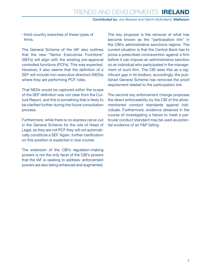#### *Contributed by: Joe Beashel and Niamh Mulholland, Matheson*

• third-country branches of these types of firms.

The General Scheme of the IAF also outlines that the new "Senior Executives Functions" (SEFs) will align with the existing pre-approval controlled functions (PCFs). This was expected. However, it also seems that the definition of a SEF will include non-executive directors (NEDs) where they are performing PCF roles.

That NEDs would be captured within the scope of the SEF definition was not clear from the Culture Report, and this is something that is likely to be clarified further during the future consultation process.

Furthermore, while there is no express carve-out in the General Scheme for the role of Head of Legal, as they are not PCF they will not automatically constitute a SEF. Again, further clarification on this position is expected in due course.

The extension of the CBI's regulation-making powers is not the only facet of the CBI's powers that the IAF is seeking to address: enforcement powers are also being enhanced and augmented.

The key proposal is the removal of what has become known as the "participation link" in the CBI's administrative sanctions regime. The current situation is that the Central Bank has to prove a prescribed contravention against a firm before it can impose an administrative sanction on an individual who participated in the management of such firm. The CBI sees this as a significant gap in its toolbox; accordingly, the published General Scheme has removed the proof requirement related to the participation link.

The second key enforcement change proposes the direct enforceability by the CBI of the aforementioned conduct standards against individuals. Furthermore, evidence obtained in the course of investigating a failure to meet a particular conduct standard may be used as potential evidence of an F&P failing.